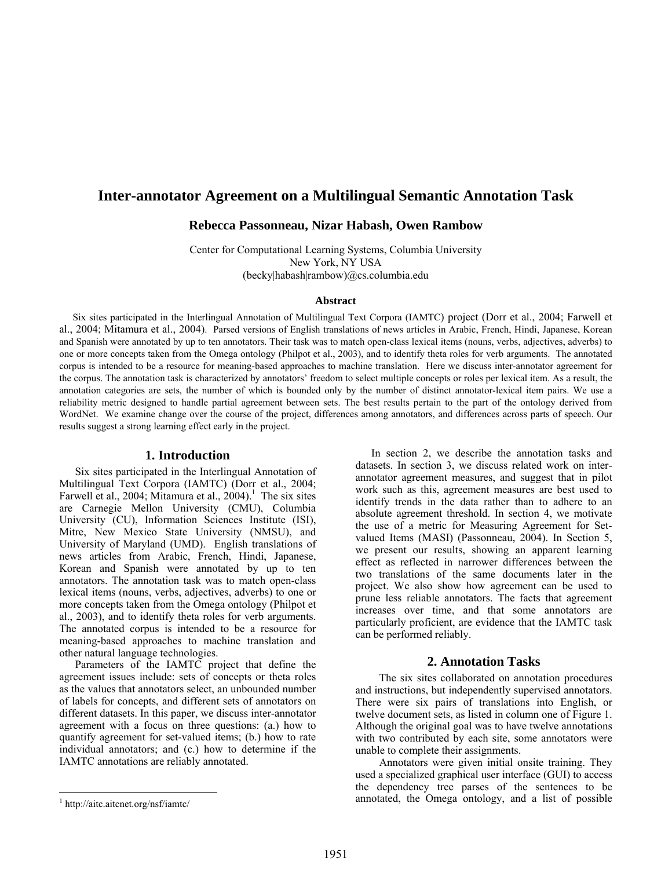# **Inter-annotator Agreement on a Multilingual Semantic Annotation Task**

### **Rebecca Passonneau, Nizar Habash, Owen Rambow**

Center for Computational Learning Systems, Columbia University New York, NY USA (becky|habash|rambow)@cs.columbia.edu

#### **Abstract**

 Six sites participated in the Interlingual Annotation of Multilingual Text Corpora (IAMTC) project (Dorr et al., 2004; Farwell et al., 2004; Mitamura et al., 2004). Parsed versions of English translations of news articles in Arabic, French, Hindi, Japanese, Korean and Spanish were annotated by up to ten annotators. Their task was to match open-class lexical items (nouns, verbs, adjectives, adverbs) to one or more concepts taken from the Omega ontology (Philpot et al., 2003), and to identify theta roles for verb arguments. The annotated corpus is intended to be a resource for meaning-based approaches to machine translation. Here we discuss inter-annotator agreement for the corpus. The annotation task is characterized by annotators' freedom to select multiple concepts or roles per lexical item. As a result, the annotation categories are sets, the number of which is bounded only by the number of distinct annotator-lexical item pairs. We use a reliability metric designed to handle partial agreement between sets. The best results pertain to the part of the ontology derived from WordNet. We examine change over the course of the project, differences among annotators, and differences across parts of speech. Our results suggest a strong learning effect early in the project.

### **1. Introduction**

Six sites participated in the Interlingual Annotation of Multilingual Text Corpora (IAMTC) (Dorr et al., 2004; Farwell et al., 2004; Mitamura et al.,  $2004$ ).<sup>[1](#page-0-0)</sup> The six sites are Carnegie Mellon University (CMU), Columbia University (CU), Information Sciences Institute (ISI), Mitre, New Mexico State University (NMSU), and University of Maryland (UMD). English translations of news articles from Arabic, French, Hindi, Japanese, Korean and Spanish were annotated by up to ten annotators. The annotation task was to match open-class lexical items (nouns, verbs, adjectives, adverbs) to one or more concepts taken from the Omega ontology (Philpot et al., 2003), and to identify theta roles for verb arguments. The annotated corpus is intended to be a resource for meaning-based approaches to machine translation and other natural language technologies.

Parameters of the IAMTC project that define the agreement issues include: sets of concepts or theta roles as the values that annotators select, an unbounded number of labels for concepts, and different sets of annotators on different datasets. In this paper, we discuss inter-annotator agreement with a focus on three questions: (a.) how to quantify agreement for set-valued items; (b.) how to rate individual annotators; and (c.) how to determine if the IAMTC annotations are reliably annotated.

 $\overline{a}$ 

In section 2, we describe the annotation tasks and datasets. In section 3, we discuss related work on interannotator agreement measures, and suggest that in pilot work such as this, agreement measures are best used to identify trends in the data rather than to adhere to an absolute agreement threshold. In section 4, we motivate the use of a metric for Measuring Agreement for Setvalued Items (MASI) (Passonneau, 2004). In Section 5, we present our results, showing an apparent learning effect as reflected in narrower differences between the two translations of the same documents later in the project. We also show how agreement can be used to prune less reliable annotators. The facts that agreement increases over time, and that some annotators are particularly proficient, are evidence that the IAMTC task can be performed reliably.

## **2. Annotation Tasks**

The six sites collaborated on annotation procedures and instructions, but independently supervised annotators. There were six pairs of translations into English, or twelve document sets, as listed in column one of Figure 1. Although the original goal was to have twelve annotations with two contributed by each site, some annotators were unable to complete their assignments.

Annotators were given initial onsite training. They used a specialized graphical user interface (GUI) to access the dependency tree parses of the sentences to be annotated, the Omega ontology, and a list of possible

<span id="page-0-0"></span><sup>1</sup> http://aitc.aitcnet.org/nsf/iamtc/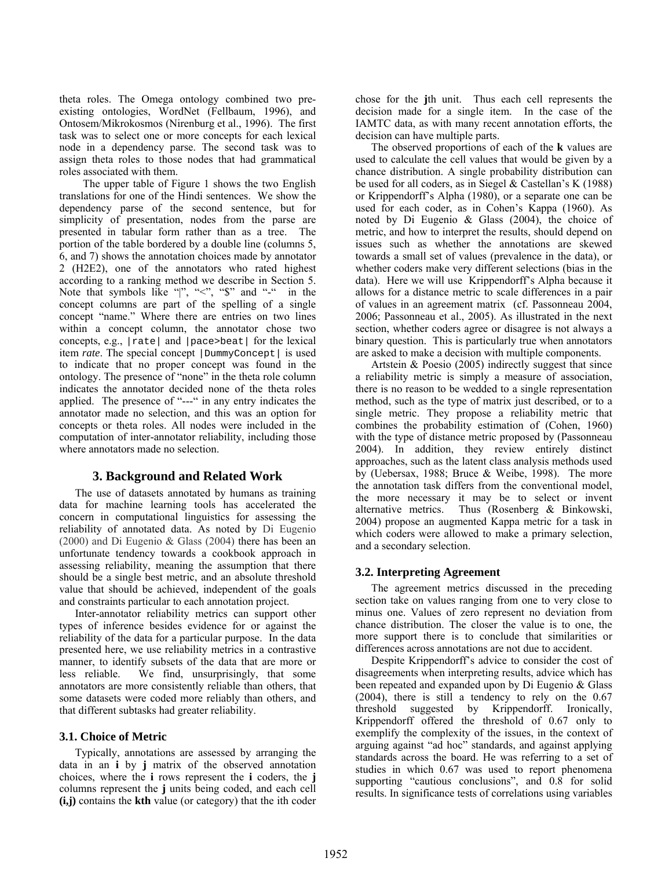theta roles. The Omega ontology combined two preexisting ontologies, WordNet (Fellbaum, 1996), and Ontosem/Mikrokosmos (Nirenburg et al., 1996). The first task was to select one or more concepts for each lexical node in a dependency parse. The second task was to assign theta roles to those nodes that had grammatical roles associated with them.

The upper table of Figure 1 shows the two English translations for one of the Hindi sentences. We show the dependency parse of the second sentence, but for simplicity of presentation, nodes from the parse are presented in tabular form rather than as a tree. The portion of the table bordered by a double line (columns 5, 6, and 7) shows the annotation choices made by annotator 2 (H2E2), one of the annotators who rated highest according to a ranking method we describe in Section 5. Note that symbols like "|", " $\lt$ ", "\$" and "-" in the concept columns are part of the spelling of a single concept "name." Where there are entries on two lines within a concept column, the annotator chose two concepts, e.g., |rate| and |pace>beat| for the lexical item *rate*. The special concept | DummyConcept | is used to indicate that no proper concept was found in the ontology. The presence of "none" in the theta role column indicates the annotator decided none of the theta roles applied. The presence of "---" in any entry indicates the annotator made no selection, and this was an option for concepts or theta roles. All nodes were included in the computation of inter-annotator reliability, including those where annotators made no selection.

## **3. Background and Related Work**

The use of datasets annotated by humans as training data for machine learning tools has accelerated the concern in computational linguistics for assessing the reliability of annotated data. As noted by Di Eugenio (2000) and Di Eugenio & Glass (2004) there has been an unfortunate tendency towards a cookbook approach in assessing reliability, meaning the assumption that there should be a single best metric, and an absolute threshold value that should be achieved, independent of the goals and constraints particular to each annotation project.

Inter-annotator reliability metrics can support other types of inference besides evidence for or against the reliability of the data for a particular purpose. In the data presented here, we use reliability metrics in a contrastive manner, to identify subsets of the data that are more or less reliable. We find, unsurprisingly, that some annotators are more consistently reliable than others, that some datasets were coded more reliably than others, and that different subtasks had greater reliability.

## **3.1. Choice of Metric**

Typically, annotations are assessed by arranging the data in an **i** by **j** matrix of the observed annotation choices, where the **i** rows represent the **i** coders, the **j**  columns represent the **j** units being coded, and each cell **(i,j)** contains the **kth** value (or category) that the ith coder chose for the **j**th unit. Thus each cell represents the decision made for a single item. In the case of the IAMTC data, as with many recent annotation efforts, the decision can have multiple parts.

The observed proportions of each of the **k** values are used to calculate the cell values that would be given by a chance distribution. A single probability distribution can be used for all coders, as in Siegel & Castellan's K (1988) or Krippendorff's Alpha (1980), or a separate one can be used for each coder, as in Cohen's Kappa (1960). As noted by Di Eugenio & Glass (2004), the choice of metric, and how to interpret the results, should depend on issues such as whether the annotations are skewed towards a small set of values (prevalence in the data), or whether coders make very different selections (bias in the data). Here we will use Krippendorff's Alpha because it allows for a distance metric to scale differences in a pair of values in an agreement matrix (cf. Passonneau 2004, 2006; Passonneau et al., 2005). As illustrated in the next section, whether coders agree or disagree is not always a binary question. This is particularly true when annotators are asked to make a decision with multiple components.

Artstein & Poesio (2005) indirectly suggest that since a reliability metric is simply a measure of association, there is no reason to be wedded to a single representation method, such as the type of matrix just described, or to a single metric. They propose a reliability metric that combines the probability estimation of (Cohen, 1960) with the type of distance metric proposed by (Passonneau 2004). In addition, they review entirely distinct approaches, such as the latent class analysis methods used by (Uebersax, 1988; Bruce & Weibe, 1998). The more the annotation task differs from the conventional model, the more necessary it may be to select or invent alternative metrics. Thus (Rosenberg & Binkowski, 2004) propose an augmented Kappa metric for a task in which coders were allowed to make a primary selection, and a secondary selection.

## **3.2. Interpreting Agreement**

The agreement metrics discussed in the preceding section take on values ranging from one to very close to minus one. Values of zero represent no deviation from chance distribution. The closer the value is to one, the more support there is to conclude that similarities or differences across annotations are not due to accident.

Despite Krippendorff's advice to consider the cost of disagreements when interpreting results, advice which has been repeated and expanded upon by Di Eugenio & Glass (2004), there is still a tendency to rely on the 0.67 threshold suggested by Krippendorff. Ironically, Krippendorff offered the threshold of 0.67 only to exemplify the complexity of the issues, in the context of arguing against "ad hoc" standards, and against applying standards across the board. He was referring to a set of studies in which 0.67 was used to report phenomena supporting "cautious conclusions", and 0.8 for solid results. In significance tests of correlations using variables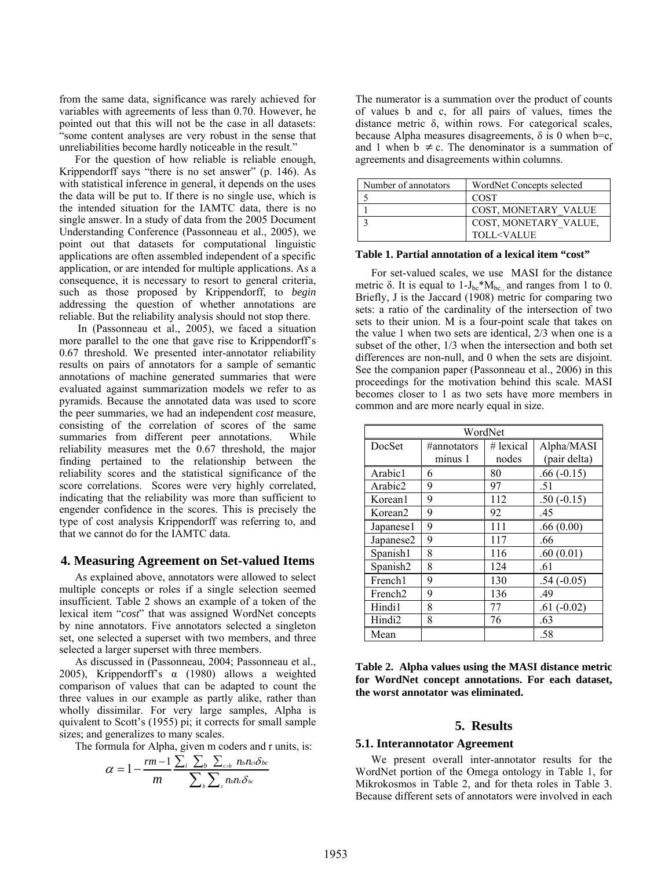from the same data, significance was rarely achieved for variables with agreements of less than 0.70. However, he pointed out that this will not be the case in all datasets: "some content analyses are very robust in the sense that unreliabilities become hardly noticeable in the result."

For the question of how reliable is reliable enough, Krippendorff says "there is no set answer" (p. 146). As with statistical inference in general, it depends on the uses the data will be put to. If there is no single use, which is the intended situation for the IAMTC data, there is no single answer. In a study of data from the 2005 Document Understanding Conference (Passonneau et al., 2005), we point out that datasets for computational linguistic applications are often assembled independent of a specific application, or are intended for multiple applications. As a consequence, it is necessary to resort to general criteria, such as those proposed by Krippendorff, to *begin* addressing the question of whether annotations are reliable. But the reliability analysis should not stop there.

 In (Passonneau et al., 2005), we faced a situation more parallel to the one that gave rise to Krippendorff's 0.67 threshold. We presented inter-annotator reliability results on pairs of annotators for a sample of semantic annotations of machine generated summaries that were evaluated against summarization models we refer to as pyramids. Because the annotated data was used to score the peer summaries, we had an independent *cost* measure, consisting of the correlation of scores of the same summaries from different peer annotations. While reliability measures met the 0.67 threshold, the major finding pertained to the relationship between the reliability scores and the statistical significance of the score correlations. Scores were very highly correlated, indicating that the reliability was more than sufficient to engender confidence in the scores. This is precisely the type of cost analysis Krippendorff was referring to, and that we cannot do for the IAMTC data.

### **4. Measuring Agreement on Set-valued Items**

As explained above, annotators were allowed to select multiple concepts or roles if a single selection seemed insufficient. Table 2 shows an example of a token of the lexical item "*cost*" that was assigned WordNet concepts by nine annotators. Five annotators selected a singleton set, one selected a superset with two members, and three selected a larger superset with three members.

As discussed in (Passonneau, 2004; Passonneau et al., 2005), Krippendorff's α (1980) allows a weighted comparison of values that can be adapted to count the three values in our example as partly alike, rather than wholly dissimilar. For very large samples, Alpha is quivalent to Scott's (1955) pi; it corrects for small sample sizes; and generalizes to many scales.

The formula for Alpha, given m coders and r units, is:

$$
\alpha = 1 - \frac{rm - 1}{m} \frac{\sum_i \sum_b \sum_{c \geq b} n_{b} n_{c} \delta_{bc}}{\sum_b \sum_c n_{b} n_{c} \delta_{bc}}
$$

The numerator is a summation over the product of counts of values b and c, for all pairs of values, times the distance metric δ, within rows. For categorical scales, because Alpha measures disagreements,  $\delta$  is 0 when b=c, and 1 when  $b \neq c$ . The denominator is a summation of agreements and disagreements within columns.

| Number of annotators | WordNet Concepts selected         |  |
|----------------------|-----------------------------------|--|
|                      | <b>COST</b>                       |  |
|                      | <b>COST, MONETARY VALUE</b>       |  |
|                      | COST, MONETARY VALUE,             |  |
|                      | <b>TOLL<value< b=""></value<></b> |  |

#### **Table 1. Partial annotation of a lexical item "cost"**

For set-valued scales, we use MASI for the distance metric  $\delta$ . It is equal to 1- $J_{bc}$ <sup>\*</sup>M<sub>bc.</sub>, and ranges from 1 to 0. Briefly, J is the Jaccard (1908) metric for comparing two sets: a ratio of the cardinality of the intersection of two sets to their union. M is a four-point scale that takes on the value 1 when two sets are identical, 2/3 when one is a subset of the other, 1/3 when the intersection and both set differences are non-null, and 0 when the sets are disjoint. See the companion paper (Passonneau et al., 2006) in this proceedings for the motivation behind this scale. MASI becomes closer to 1 as two sets have more members in common and are more nearly equal in size.

| WordNet             |                        |                      |                            |  |  |
|---------------------|------------------------|----------------------|----------------------------|--|--|
| DocSet              | #annotators<br>minus 1 | $#$ lexical<br>nodes | Alpha/MASI<br>(pair delta) |  |  |
| Arabic1             | 6                      | 80                   | $.66(-0.15)$               |  |  |
| Arabic2             | 9                      | 97                   | .51                        |  |  |
| Korean1             | 9                      | 112                  | $.50(-0.15)$               |  |  |
| Korean <sub>2</sub> | 9                      | 92                   | .45                        |  |  |
| Japanese1           | 9                      | 111                  | .66(0.00)                  |  |  |
| Japanese2           | 9                      | 117                  | .66                        |  |  |
| Spanish1            | 8                      | 116                  | .60(0.01)                  |  |  |
| Spanish2            | 8                      | 124                  | .61                        |  |  |
| French1             | 9                      | 130                  | $.54(-0.05)$               |  |  |
| French <sub>2</sub> | 9                      | 136                  | .49                        |  |  |
| Hindi1              | 8                      | 77                   | $.61(-0.02)$               |  |  |
| Hindi <sub>2</sub>  | 8                      | 76                   | .63                        |  |  |
| Mean                |                        |                      | .58                        |  |  |

**Table 2. Alpha values using the MASI distance metric for WordNet concept annotations. For each dataset, the worst annotator was eliminated.** 

#### **5. Results**

#### **5.1. Interannotator Agreement**

We present overall inter-annotator results for the WordNet portion of the Omega ontology in Table 1, for Mikrokosmos in Table 2, and for theta roles in Table 3. Because different sets of annotators were involved in each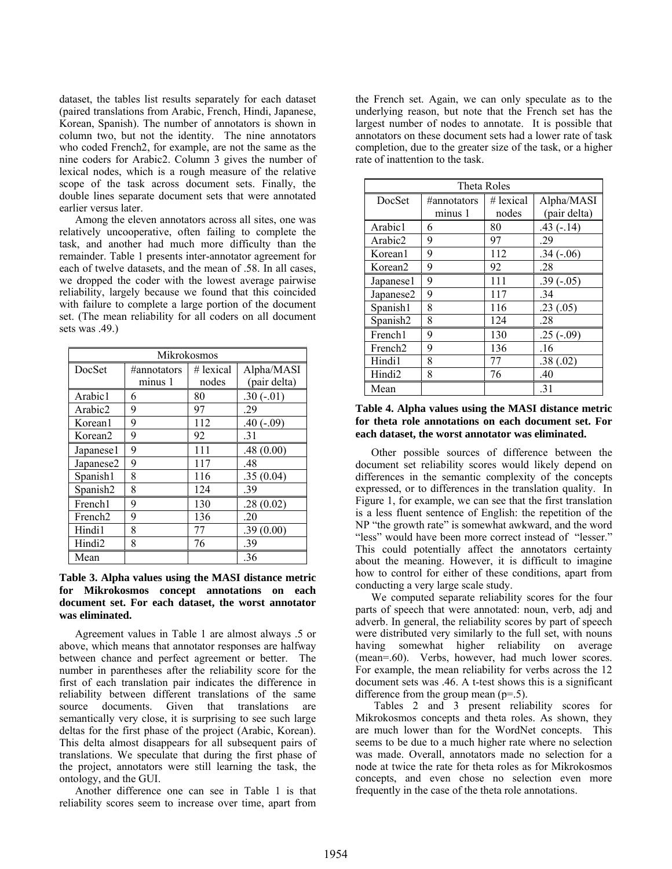dataset, the tables list results separately for each dataset (paired translations from Arabic, French, Hindi, Japanese, Korean, Spanish). The number of annotators is shown in column two, but not the identity. The nine annotators who coded French2, for example, are not the same as the nine coders for Arabic2. Column 3 gives the number of lexical nodes, which is a rough measure of the relative scope of the task across document sets. Finally, the double lines separate document sets that were annotated earlier versus later.

Among the eleven annotators across all sites, one was relatively uncooperative, often failing to complete the task, and another had much more difficulty than the remainder. Table 1 presents inter-annotator agreement for each of twelve datasets, and the mean of .58. In all cases, we dropped the coder with the lowest average pairwise reliability, largely because we found that this coincided with failure to complete a large portion of the document set. (The mean reliability for all coders on all document sets was .49.)

| Mikrokosmos         |             |             |              |  |  |
|---------------------|-------------|-------------|--------------|--|--|
| DocSet              | #annotators | $#$ lexical | Alpha/MASI   |  |  |
|                     | minus 1     | nodes       | (pair delta) |  |  |
| Arabic1             | 6           | 80          | $.30(-.01)$  |  |  |
| Arabic2             | 9           | 97          | .29          |  |  |
| Korean1             | 9           | 112         | $.40(-.09)$  |  |  |
| Korean <sub>2</sub> | 9           | 92          | .31          |  |  |
| Japanese1           | 9           | 111         | .48(0.00)    |  |  |
| Japanese2           | 9           | 117         | .48          |  |  |
| Spanish1            | 8           | 116         | .35(0.04)    |  |  |
| Spanish2            | 8           | 124         | .39          |  |  |
| French1             | 9           | 130         | .28(0.02)    |  |  |
| French <sub>2</sub> | 9           | 136         | .20          |  |  |
| Hindi1              | 8           | 77          | .39(0.00)    |  |  |
| Hindi <sub>2</sub>  | 8           | 76          | .39          |  |  |
| Mean                |             |             | .36          |  |  |

### **Table 3. Alpha values using the MASI distance metric for Mikrokosmos concept annotations on each document set. For each dataset, the worst annotator was eliminated.**

Agreement values in Table 1 are almost always .5 or above, which means that annotator responses are halfway between chance and perfect agreement or better. The number in parentheses after the reliability score for the first of each translation pair indicates the difference in reliability between different translations of the same source documents. Given that translations semantically very close, it is surprising to see such large deltas for the first phase of the project (Arabic, Korean). This delta almost disappears for all subsequent pairs of translations. We speculate that during the first phase of the project, annotators were still learning the task, the ontology, and the GUI.

Another difference one can see in Table 1 is that reliability scores seem to increase over time, apart from the French set. Again, we can only speculate as to the underlying reason, but note that the French set has the largest number of nodes to annotate. It is possible that annotators on these document sets had a lower rate of task completion, due to the greater size of the task, or a higher rate of inattention to the task.

| Theta Roles          |             |             |              |  |
|----------------------|-------------|-------------|--------------|--|
| DocSet               | #annotators | $#$ lexical | Alpha/MASI   |  |
|                      | minus 1     | nodes       | (pair delta) |  |
| Arabic1              | 6           | 80          | $.43(-.14)$  |  |
| Arabic2              | 9           | 97          | .29          |  |
| Korean1              | 9           | 112         | $.34(-.06)$  |  |
| Korean <sub>2</sub>  | 9           | 92          | .28          |  |
| Japanese1            | 9           | 111         | $.39(-.05)$  |  |
| Japanese2            | 9           | 117         | .34          |  |
| Spanish1             | 8           | 116         | .23(.05)     |  |
| Spanish <sub>2</sub> | 8           | 124         | .28          |  |
| French1              | 9           | 130         | $.25(-.09)$  |  |
| French <sub>2</sub>  | 9           | 136         | .16          |  |
| Hindi1               | 8           | 77          | .38(.02)     |  |
| Hindi <sub>2</sub>   | 8           | 76          | .40          |  |
| Mean                 |             |             | .31          |  |

### **Table 4. Alpha values using the MASI distance metric for theta role annotations on each document set. For each dataset, the worst annotator was eliminated.**

Other possible sources of difference between the document set reliability scores would likely depend on differences in the semantic complexity of the concepts expressed, or to differences in the translation quality. In Figure 1, for example, we can see that the first translation is a less fluent sentence of English: the repetition of the NP "the growth rate" is somewhat awkward, and the word "less" would have been more correct instead of "lesser." This could potentially affect the annotators certainty about the meaning. However, it is difficult to imagine how to control for either of these conditions, apart from conducting a very large scale study.

We computed separate reliability scores for the four parts of speech that were annotated: noun, verb, adj and adverb. In general, the reliability scores by part of speech were distributed very similarly to the full set, with nouns having somewhat higher reliability on average (mean=.60). Verbs, however, had much lower scores. For example, the mean reliability for verbs across the 12 document sets was .46. A t-test shows this is a significant difference from the group mean  $(p=0.5)$ .

 Tables 2 and 3 present reliability scores for Mikrokosmos concepts and theta roles. As shown, they are much lower than for the WordNet concepts. This seems to be due to a much higher rate where no selection was made. Overall, annotators made no selection for a node at twice the rate for theta roles as for Mikrokosmos concepts, and even chose no selection even more frequently in the case of the theta role annotations.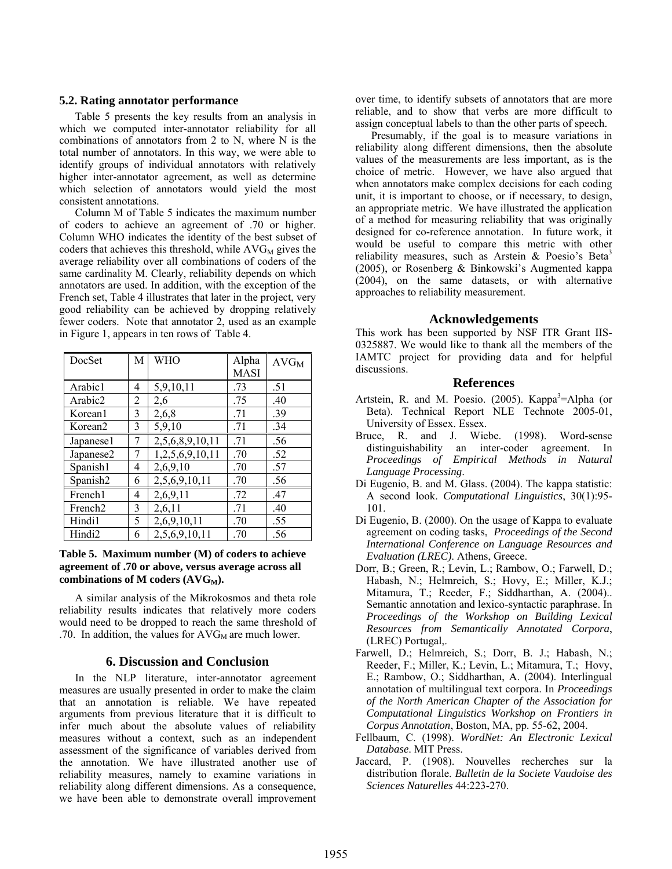#### **5.2. Rating annotator performance**

Table 5 presents the key results from an analysis in which we computed inter-annotator reliability for all combinations of annotators from 2 to N, where N is the total number of annotators. In this way, we were able to identify groups of individual annotators with relatively higher inter-annotator agreement, as well as determine which selection of annotators would yield the most consistent annotations.

Column M of Table 5 indicates the maximum number of coders to achieve an agreement of .70 or higher. Column WHO indicates the identity of the best subset of coders that achieves this threshold, while  $AVG_M$  gives the average reliability over all combinations of coders of the same cardinality M. Clearly, reliability depends on which annotators are used. In addition, with the exception of the French set, Table 4 illustrates that later in the project, very good reliability can be achieved by dropping relatively fewer coders. Note that annotator 2, used as an example in Figure 1, appears in ten rows of Table 4.

| DocSet               | M | WHO             | Alpha<br><b>MASI</b> | $AVG_M$ |
|----------------------|---|-----------------|----------------------|---------|
| Arabic1              | 4 | 5,9,10,11       | .73                  | .51     |
| Arabic2              | 2 | 2,6             | .75                  | .40     |
| Korean1              | 3 | 2,6,8           | .71                  | .39     |
| Korean <sub>2</sub>  | 3 | 5,9,10          | .71                  | .34     |
| Japanese1            | 7 | 2,5,6,8,9,10,11 | .71                  | .56     |
| Japanese2            | 7 | 1,2,5,6,9,10,11 | .70                  | .52     |
| Spanish1             | 4 | 2,6,9,10        | .70                  | .57     |
| Spanish <sub>2</sub> | 6 | 2,5,6,9,10,11   | .70                  | .56     |
| French1              | 4 | 2,6,9,11        | .72                  | .47     |
| French <sub>2</sub>  | 3 | 2,6,11          | .71                  | .40     |
| Hindi1               | 5 | 2,6,9,10,11     | .70                  | .55     |
| Hindi2               | 6 | 2,5,6,9,10,11   | .70                  | .56     |

### **Table 5. Maximum number (M) of coders to achieve agreement of .70 or above, versus average across all**  combinations of M coders (AVG<sub>M</sub>).

A similar analysis of the Mikrokosmos and theta role reliability results indicates that relatively more coders would need to be dropped to reach the same threshold of .70. In addition, the values for  $AVG_M$  are much lower.

### **6. Discussion and Conclusion**

In the NLP literature, inter-annotator agreement measures are usually presented in order to make the claim that an annotation is reliable. We have repeated arguments from previous literature that it is difficult to infer much about the absolute values of reliability measures without a context, such as an independent assessment of the significance of variables derived from the annotation. We have illustrated another use of reliability measures, namely to examine variations in reliability along different dimensions. As a consequence, we have been able to demonstrate overall improvement over time, to identify subsets of annotators that are more reliable, and to show that verbs are more difficult to assign conceptual labels to than the other parts of speech.

Presumably, if the goal is to measure variations in reliability along different dimensions, then the absolute values of the measurements are less important, as is the choice of metric. However, we have also argued that when annotators make complex decisions for each coding unit, it is important to choose, or if necessary, to design, an appropriate metric. We have illustrated the application of a method for measuring reliability that was originally designed for co-reference annotation. In future work, it would be useful to compare this metric with other reliability measures, such as Arstein  $\&$  Poesio's Beta<sup>3</sup> (2005), or Rosenberg & Binkowski's Augmented kappa (2004), on the same datasets, or with alternative approaches to reliability measurement.

#### **Acknowledgements**

This work has been supported by NSF ITR Grant IIS-0325887. We would like to thank all the members of the IAMTC project for providing data and for helpful discussions.

#### **References**

- Artstein, R. and M. Poesio. (2005). Kappa<sup>3</sup>=Alpha (or Beta). Technical Report NLE Technote 2005-01, University of Essex. Essex.
- Bruce, R. and J. Wiebe. (1998). Word-sense distinguishability an inter-coder agreement. In *Proceedings of Empirical Methods in Natural Language Processing*.
- Di Eugenio, B. and M. Glass. (2004). The kappa statistic: A second look. *Computational Linguistics*, 30(1):95- 101.
- Di Eugenio, B. (2000). On the usage of Kappa to evaluate agreement on coding tasks, *Proceedings of the Second International Conference on Language Resources and Evaluation (LREC)*. Athens, Greece.
- Dorr, B.; Green, R.; Levin, L.; Rambow, O.; Farwell, D.; Habash, N.; Helmreich, S.; Hovy, E.; Miller, K.J.; Mitamura, T.; Reeder, F.; Siddharthan, A. (2004).. Semantic annotation and lexico-syntactic paraphrase. In *Proceedings of the Workshop on Building Lexical Resources from Semantically Annotated Corpora*, (LREC) Portugal,.
- Farwell, D.; Helmreich, S.; Dorr, B. J.; Habash, N.; Reeder, F.; Miller, K.; Levin, L.; Mitamura, T.; Hovy, E.; Rambow, O.; Siddharthan, A. (2004). Interlingual annotation of multilingual text corpora. In *Proceedings of the North American Chapter of the Association for Computational Linguistics Workshop on Frontiers in Corpus Annotation*, Boston, MA, pp. 55-62, 2004.
- Fellbaum, C. (1998). *WordNet: An Electronic Lexical Database*. MIT Press.
- Jaccard, P. (1908). Nouvelles recherches sur la distribution florale. *Bulletin de la Societe Vaudoise des Sciences Naturelles* 44:223-270.